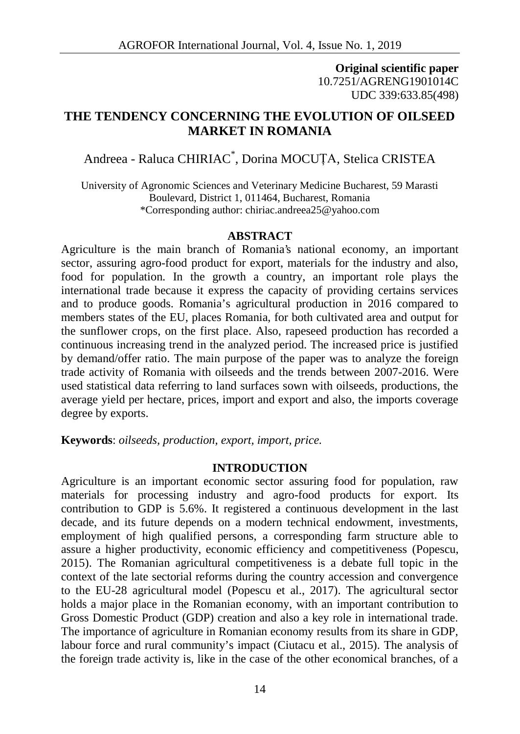**Original scientific paper** 10.7251/AGRENG1901014C UDC 339:633.85(498)

## **THE TENDENCY CONCERNING THE EVOLUTION OF OILSEED MARKET IN ROMANIA**

# Andreea - Raluca CHIRIAC\* , Dorina MOCUȚA, Stelica CRISTEA

University of Agronomic Sciences and Veterinary Medicine Bucharest, 59 Marasti Boulevard, District 1, 011464, Bucharest, Romania \*Corresponding author: chiriac.andreea25@yahoo.com

#### **ABSTRACT**

Agriculture is the main branch of Romania's national economy, an important sector, assuring agro-food product for export, materials for the industry and also, food for population. In the growth a country, an important role plays the international trade because it express the capacity of providing certains services and to produce goods. Romania's agricultural production in 2016 compared to members states of the EU, places Romania, for both cultivated area and output for the sunflower crops, on the first place. Also, rapeseed production has recorded a continuous increasing trend in the analyzed period. The increased price is justified by demand/offer ratio. The main purpose of the paper was to analyze the foreign trade activity of Romania with oilseeds and the trends between 2007-2016. Were used statistical data referring to land surfaces sown with oilseeds, productions, the average yield per hectare, prices, import and export and also, the imports coverage degree by exports.

**Keywords**: *oilseeds, production, export, import, price.*

#### **INTRODUCTION**

Agriculture is an important economic sector assuring food for population, raw materials for processing industry and agro-food products for export. Its contribution to GDP is 5.6%. It registered a continuous development in the last decade, and its future depends on a modern technical endowment, investments, employment of high qualified persons, a corresponding farm structure able to assure a higher productivity, economic efficiency and competitiveness (Popescu, 2015). The Romanian agricultural competitiveness is a debate full topic in the context of the late sectorial reforms during the country accession and convergence to the EU-28 agricultural model (Popescu et al., 2017). The agricultural sector holds a major place in the Romanian economy, with an important contribution to Gross Domestic Product (GDP) creation and also a key role in international trade. The importance of agriculture in Romanian economy results from its share in GDP, labour force and rural community's impact (Ciutacu et al., 2015). The analysis of the foreign trade activity is, like in the case of the other economical branches, of a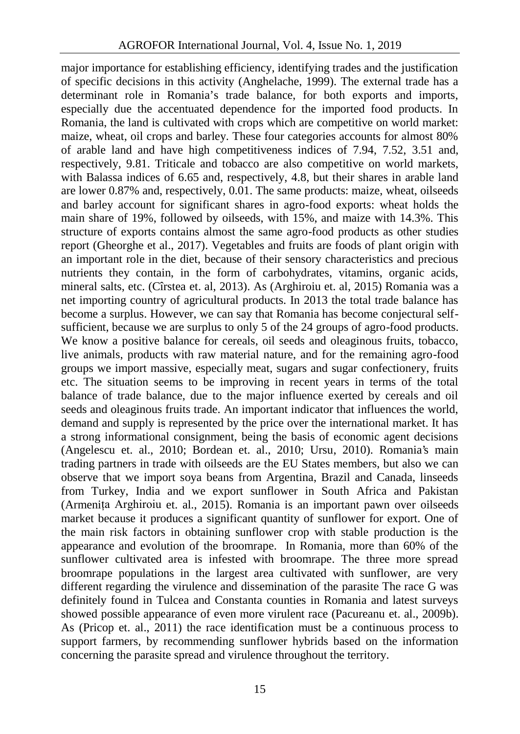major importance for establishing efficiency, identifying trades and the justification of specific decisions in this activity (Anghelache, 1999). The external trade has a determinant role in Romania's trade balance, for both exports and imports, especially due the accentuated dependence for the imported food products. In Romania, the land is cultivated with crops which are competitive on world market: maize, wheat, oil crops and barley. These four categories accounts for almost 80% of arable land and have high competitiveness indices of 7.94, 7.52, 3.51 and, respectively, 9.81. Triticale and tobacco are also competitive on world markets, with Balassa indices of 6.65 and, respectively, 4.8, but their shares in arable land are lower 0.87% and, respectively, 0.01. The same products: maize, wheat, oilseeds and barley account for significant shares in agro-food exports: wheat holds the main share of 19%, followed by oilseeds, with 15%, and maize with 14.3%. This structure of exports contains almost the same agro-food products as other studies report (Gheorghe et al., 2017). Vegetables and fruits are foods of plant origin with an important role in the diet, because of their sensory characteristics and precious nutrients they contain, in the form of carbohydrates, vitamins, organic acids, mineral salts, etc. (Cîrstea et. al, 2013). As (Arghiroiu et. al, 2015) Romania was a net importing country of agricultural products. In 2013 the total trade balance has become a surplus. However, we can say that Romania has become conjectural self sufficient, because we are surplus to only 5 of the 24 groups of agro-food products. We know a positive balance for cereals, oil seeds and oleaginous fruits, tobacco, live animals, products with raw material nature, and for the remaining agro-food groups we import massive, especially meat, sugars and sugar confectionery, fruits etc. The situation seems to be improving in recent years in terms of the total balance of trade balance, due to the major influence exerted by cereals and oil seeds and oleaginous fruits trade. An important indicator that influences the world, demand and supply is represented by the price over the international market. It has a strong informational consignment, being the basis of economic agent decisions (Angelescu et. al., 2010; Bordean et. al., 2010; Ursu, 2010). Romania's main trading partners in trade with oilseeds are the EU States members, but also we can observe that we import soya beans from Argentina, Brazil and Canada, linseeds from Turkey, India and we export sunflower in South Africa and Pakistan (Armenița Arghiroiu et. al., 2015). Romania is an important pawn over oilseeds market because it produces a significant quantity of sunflower for export. One of the main risk factors in obtaining sunflower crop with stable production is the appearance and evolution of the broomrape. In Romania, more than 60% of the sunflower cultivated area is infested with broomrape. The three more spread broomrape populations in the largest area cultivated with sunflower, are very different regarding the virulence and dissemination of the parasite The race G was definitely found in Tulcea and Constanta counties in Romania and latest surveys showed possible appearance of even more virulent race (Pacureanu et. al., 2009b). As (Pricop et. al., 2011) the race identification must be a continuous process to support farmers, by recommending sunflower hybrids based on the information concerning the parasite spread and virulence throughout the territory.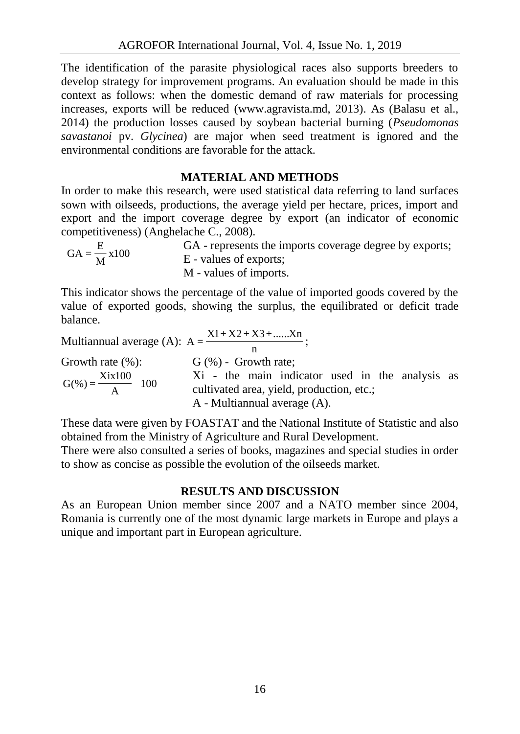The identification of the parasite physiological races also supports breeders to develop strategy for improvement programs. An evaluation should be made in this context as follows: when the domestic demand of raw materials for processing increases, exports will be reduced (www.agravista.md, 2013). As (Balasu et al., 2014) the production losses caused by soybean bacterial burning (*Pseudomonas savastanoi* pv. *Glycinea*) are major when seed treatment is ignored and the environmental conditions are favorable for the attack.

#### **MATERIAL AND METHODS**

In order to make this research, were used statistical data referring to land surfaces sown with oilseeds, productions, the average yield per hectare, prices, import and export and the import coverage degree by export (an indicator of economic competitiveness) (Anghelache C., 2008).

 $GA = \frac{W}{M} \times 100$  E - values of exports; E<sub>-100</sub> GA - represents the imports coverage degree by exports; M - values of imports.

This indicator shows the percentage of the value of imported goods covered by the value of exported goods, showing the surplus, the equilibrated or deficit trade balance.

Multiannual average (A):  $A = \frac{X1 + X2 + X3 + \dots Xn}{n}$ ;

Growth rate (%):

100 cultivated area, yield, production, etc.;  $G(\%) = \frac{Xix100}{4}$  100  $\qquad$  Xi - the main indices G (%) - Growth rate; Xi - the main indicator used in the analysis as A - Multiannual average (A).

These data were given by FOASTAT and the National Institute of Statistic and also obtained from the Ministry of Agriculture and Rural Development.

There were also consulted a series of books, magazines and special studies in order to show as concise as possible the evolution of the oilseeds market.

### **RESULTS AND DISCUSSION**

As an European Union member since 2007 and a NATO member since 2004, Romania is currently one of the most dynamic large markets in Europe and plays a unique and important part in European agriculture.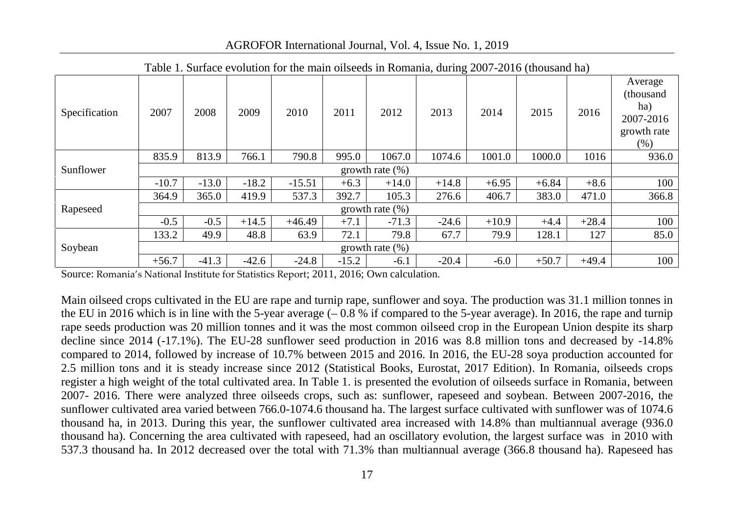|               |         |                    |         | Table 1. Surface evolution for the main oilseeds in Romania, during 2007–2016 (thousand ha) |         |                    |         |         |         |         |                                                                     |  |
|---------------|---------|--------------------|---------|---------------------------------------------------------------------------------------------|---------|--------------------|---------|---------|---------|---------|---------------------------------------------------------------------|--|
| Specification | 2007    | 2008               | 2009    | 2010                                                                                        | 2011    | 2012               | 2013    | 2014    | 2015    | 2016    | Average<br>(thousand)<br>ha)<br>2007-2016<br>growth rate<br>$(\% )$ |  |
|               | 835.9   | 813.9              | 766.1   | 790.8                                                                                       | 995.0   | 1067.0             | 1074.6  | 1001.0  | 1000.0  | 1016    | 936.0                                                               |  |
| Sunflower     |         |                    |         |                                                                                             |         |                    |         |         |         |         |                                                                     |  |
|               | $-10.7$ | $-13.0$            | $-18.2$ | $-15.51$                                                                                    | $+6.3$  | $+14.0$            | $+14.8$ | $+6.95$ | $+6.84$ | $+8.6$  | 100                                                                 |  |
|               | 364.9   | 365.0              | 419.9   | 537.3                                                                                       | 392.7   | 105.3              | 276.6   | 406.7   | 383.0   | 471.0   | 366.8                                                               |  |
| Rapeseed      |         | growth rate $(\%)$ |         |                                                                                             |         |                    |         |         |         |         |                                                                     |  |
|               | $-0.5$  | $-0.5$             | $+14.5$ | $+46.49$                                                                                    | $+7.1$  | $-71.3$            | $-24.6$ | $+10.9$ | $+4.4$  | $+28.4$ | 100                                                                 |  |
| Soybean       | 133.2   | 49.9               | 48.8    | 63.9                                                                                        | 72.1    | 79.8               | 67.7    | 79.9    | 128.1   | 127     | 85.0                                                                |  |
|               |         |                    |         |                                                                                             |         | growth rate $(\%)$ |         |         |         |         |                                                                     |  |
|               | $+56.7$ | $-41.3$            | $-42.6$ | $-24.8$                                                                                     | $-15.2$ | $-6.1$             | $-20.4$ | $-6.0$  | $+50.7$ | $+49.4$ | 100                                                                 |  |

#### AGROFOR International Journal, Vol. 4, Issue No. 1, 2019

Table 1. Surface evolution for the main oilseeds in Romania, during 2007-2016 (thousand ha)

Source: Romania's National Institute for Statistics Report; 2011, 2016; Own calculation.

Main oilseed crops cultivated in the EU are rape and turnip rape, sunflower and soya. The production was 31.1 million tonnes in the EU in 2016 which is in line with the 5-year average (– 0.8 % if compared to the 5-year average). In 2016, the rape and turnip rape seeds production was 20 million tonnes and it was the most common oilseed crop in the European Union despite its sharp decline since 2014 (-17.1%). The EU-28 sunflower seed production in 2016 was 8.8 million tons and decreased by -14.8% compared to 2014, followed by increase of 10.7% between 2015 and 2016. In 2016, the EU-28 soya production accounted for 2.5 million tons and it is steady increase since 2012 (Statistical Books, Eurostat, 2017 Edition). In Romania, oilseeds crops register a high weight of the total cultivated area. In Table 1. is presented the evolution of oilseeds surface in Romania, between 2007- 2016. There were analyzed three oilseeds crops, such as: sunflower, rapeseed and soybean. Between 2007-2016, the sunflower cultivated area varied between 766.0-1074.6 thousand ha. The largest surface cultivated with sunflower was of 1074.6 thousand ha, in 2013. During this year, the sunflower cultivated area increased with 14.8% than multiannual average (936.0 thousand ha). Concerning the area cultivated with rapeseed, had an oscillatory evolution, the largest surface was in 2010 with 537.3 thousand ha. In 2012 decreased over the total with 71.3% than multiannual average (366.8 thousand ha). Rapeseed has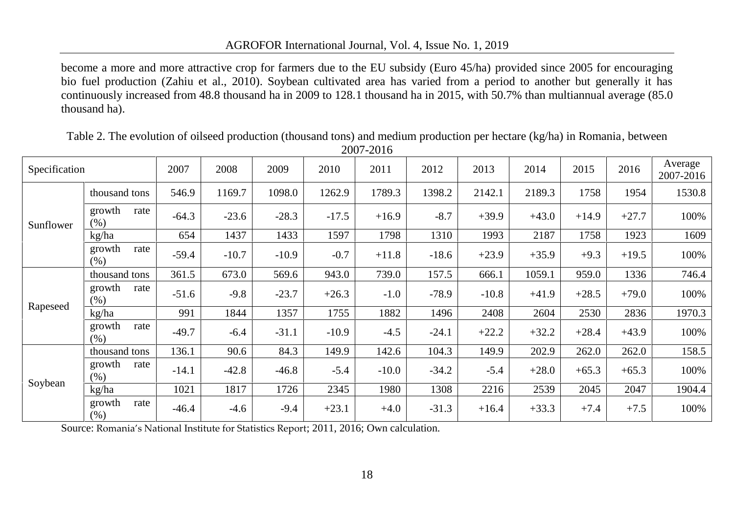become a more and more attractive crop for farmers due to the EU subsidy (Euro 45/ha) provided since 2005 for encouraging bio fuel production (Zahiu et al., 2010). Soybean cultivated area has varied from a period to another but generally it has continuously increased from 48.8 thousand ha in 2009 to 128.1 thousand ha in 2015, with 50.7% than multiannual average (85.0 thousand ha).

| Specification  |                        | 2007    | 2008    | 2009    | 2010    | 2011    | 2012    | 2013    | 2014    | 2015    | 2016    | Average<br>2007-2016 |
|----------------|------------------------|---------|---------|---------|---------|---------|---------|---------|---------|---------|---------|----------------------|
|                | thousand tons          | 546.9   | 169.7   | 1098.0  | 1262.9  | 1789.3  | 1398.2  | 2142.1  | 2189.3  | 1758    | 1954    | 1530.8               |
| Sunflower      | growth<br>rate<br>(% ) | $-64.3$ | $-23.6$ | $-28.3$ | $-17.5$ | $+16.9$ | $-8.7$  | $+39.9$ | $+43.0$ | $+14.9$ | $+27.7$ | 100%                 |
|                | kg/ha                  | 654     | 1437    | 1433    | 1597    | 1798    | 1310    | 1993    | 2187    | 1758    | 1923    | 1609                 |
|                | growth<br>rate<br>(% ) | $-59.4$ | $-10.7$ | $-10.9$ | $-0.7$  | $+11.8$ | $-18.6$ | $+23.9$ | $+35.9$ | $+9.3$  | $+19.5$ | 100%                 |
| growth<br>(% ) | thousand tons          | 361.5   | 673.0   | 569.6   | 943.0   | 739.0   | 157.5   | 666.1   | 1059.1  | 959.0   | 1336    | 746.4                |
|                | rate                   | $-51.6$ | $-9.8$  | $-23.7$ | $+26.3$ | $-1.0$  | $-78.9$ | $-10.8$ | $+41.9$ | $+28.5$ | $+79.0$ | 100%                 |
| Rapeseed       | kg/ha                  | 991     | 1844    | 1357    | 1755    | 1882    | 1496    | 2408    | 2604    | 2530    | 2836    | 1970.3               |
|                | growth<br>rate<br>(% ) | $-49.7$ | $-6.4$  | $-31.1$ | $-10.9$ | $-4.5$  | $-24.1$ | $+22.2$ | $+32.2$ | $+28.4$ | $+43.9$ | 100%                 |
|                | thousand tons          | 136.1   | 90.6    | 84.3    | 149.9   | 142.6   | 104.3   | 149.9   | 202.9   | 262.0   | 262.0   | 158.5                |
|                | growth<br>rate<br>(%)  | $-14.1$ | $-42.8$ | $-46.8$ | $-5.4$  | $-10.0$ | $-34.2$ | $-5.4$  | $+28.0$ | $+65.3$ | $+65.3$ | 100%                 |
| Soybean        | kg/ha                  | 1021    | 1817    | 1726    | 2345    | 1980    | 1308    | 2216    | 2539    | 2045    | 2047    | 1904.4               |
|                | growth<br>rate<br>(% ) | $-46.4$ | $-4.6$  | $-9.4$  | $+23.1$ | $+4.0$  | $-31.3$ | $+16.4$ | $+33.3$ | $+7.4$  | $+7.5$  | 100%                 |

Table 2. The evolution of oilseed production (thousand tons) and medium production per hectare (kg/ha) in Romania, between 2007-2016

Source: Romania's National Institute for Statistics Report; 2011, 2016; Own calculation.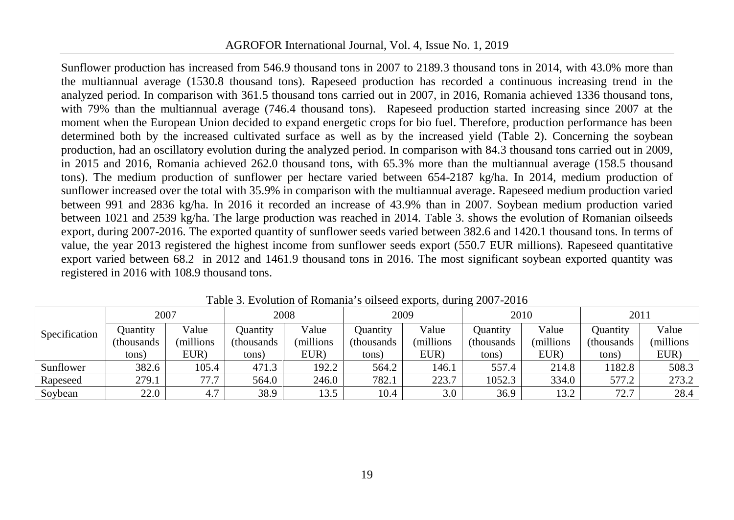#### AGROFOR International Journal, Vol. 4, Issue No. 1, 2019

Sunflower production has increased from 546.9 thousand tons in 2007 to 2189.3 thousand tons in 2014, with 43.0% more than the multiannual average (1530.8 thousand tons). Rapeseed production has recorded a continuous increasing trend in the analyzed period. In comparison with 361.5 thousand tons carried out in 2007, in 2016, Romania achieved 1336 thousand tons, with 79% than the multiannual average (746.4 thousand tons). Rapeseed production started increasing since 2007 at the moment when the European Union decided to expand energetic crops for bio fuel. Therefore, production performance has been determined both by the increased cultivated surface as well as by the increased yield (Table 2). Concerning the soybean production, had an oscillatory evolution during the analyzed period. In comparison with 84.3 thousand tons carried out in 2009, in 2015 and 2016, Romania achieved 262.0 thousand tons, with 65.3% more than the multiannual average (158.5 thousand tons). The medium production of sunflower per hectare varied between 654-2187 kg/ha. In 2014, medium production of sunflower increased over the total with 35.9% in comparison with the multiannual average. Rapeseed medium production varied between 991 and 2836 kg/ha. In 2016 it recorded an increase of 43.9% than in 2007. Soybean medium production varied between 1021 and 2539 kg/ha. The large production was reached in 2014. Table 3. shows the evolution of Romanian oilseeds export, during 2007-2016. The exported quantity of sunflower seeds varied between 382.6 and 1420.1 thousand tons. In terms of value, the year 2013 registered the highest income from sunflower seeds export (550.7 EUR millions). Rapeseed quantitative export varied between 68.2 in 2012 and 1461.9 thousand tons in 2016. The most significant soybean exported quantity was registered in 2016 with 108.9 thousand tons.

|               | 2007        |                      | 2008                     |       | 2009        |           | 2010               |          | 2011        |           |
|---------------|-------------|----------------------|--------------------------|-------|-------------|-----------|--------------------|----------|-------------|-----------|
| Specification | Ouantity    | Value                | Ouantity                 | Value | Juantity    | Value     | Juantity           | Value    | Ouantity    | Value     |
|               | (thousands) | millions             | (millions)<br>(thousands |       | (thousands) | (millions | <i>(thousands)</i> | millions | (thousands) | millions) |
|               | tons)       | EUR)                 | tons)                    | EUR)  | tons:       | EUR)      | tons)              | EUR)     | tons)       | EUR)      |
| Sunflower     | 382.6       | 105.4                | 471.3                    | 192.2 | 564.2       | 146.1     | 557.4              | 214.8    | 1182.8      | 508.3     |
| Rapeseed      | 279.1       | 77.7                 | 564.0                    | 246.0 | 782.1       | 223.7     | 1052.3             | 334.0    | 577.2       | 273.2     |
| Soybean       | 22.0        | $\overline{ }$<br>4. | 38.9                     | 13.5  | 10.4        | 3.0       | 36.9               | 13.2     | 72.7        | 28.4      |

Table 3. Evolution of Romania's oilseed exports, during 2007-2016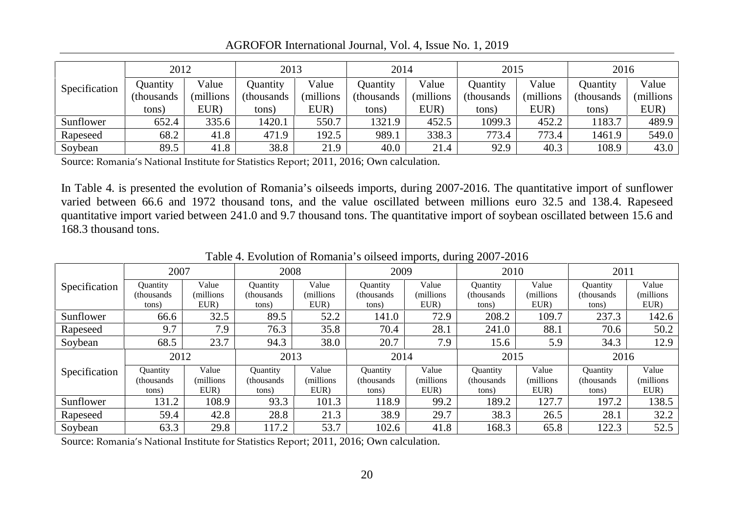|               | 2012        |           | 2013       |            | 2014               |            | 2015                     |       |            | 2016       |  |
|---------------|-------------|-----------|------------|------------|--------------------|------------|--------------------------|-------|------------|------------|--|
| Specification | Ouantity    | Value     | Ouantity   | Value      | Quantity           | Value      | Ouantity                 | Value | Ouantity   | Value      |  |
|               | (thousands) | (millions | (thousands | (millions) | <i>(thousands)</i> | (millions) | millions)<br>(thousands) |       | (thousands | (millions) |  |
|               | tons)       | EUR)      | tons)      | EUR)       | tons)              | EUR)       | tons)                    | EUR)  | tons)      | EUR)       |  |
| Sunflower     | 652.4       | 335.6     | 1420.1     | 550.7      | 1321.9             | 452.5      | 1099.3                   | 452.2 | 1183.7     | 489.9      |  |
| Rapeseed      | 68.2        | 41.8      | 471.9      | 192.5      | 989.1              | 338.3      | 773.4                    | 773.4 | 1461.9     | 549.0      |  |
| Soybean       | 89.5        | 41.8      | 38.8       | 21.9       | 40.0               | 21.4       | 92.9                     | 40.3  | 108.9      | 43.0       |  |

AGROFOR International Journal, Vol. 4, Issue No. 1, 2019

Source: Romania's National Institute for Statistics Report; 2011, 2016; Own calculation.

In Table 4. is presented the evolution of Romania's oilseeds imports, during 2007-2016. The quantitative import of sunflower varied between 66.6 and 1972 thousand tons, and the value oscillated between millions euro 32.5 and 138.4. Rapeseed quantitative import varied between 241.0 and 9.7 thousand tons. The quantitative import of soybean oscillated between 15.6 and 168.3 thousand tons.

|               | 2007                           |                     | 2008                           |                    | 2009                           |                    | 2010                           |                     | 2011                           |                    |
|---------------|--------------------------------|---------------------|--------------------------------|--------------------|--------------------------------|--------------------|--------------------------------|---------------------|--------------------------------|--------------------|
| Specification | <b>Quantity</b><br>(thousands) | Value<br>(millions) | <b>Quantity</b><br>(thousands) | Value<br>(millions | <b>Ouantity</b><br>(thousands) | Value<br>(millions | <b>Quantity</b><br>(thousands) | Value<br>(millions) | <b>Ouantity</b><br>(thousands) | Value<br>(millions |
|               | tons)                          | EUR)                | tons)                          | EUR)               | tons)                          | EUR)               | tons)                          | EUR)                | tons)                          | EUR)               |
| Sunflower     | 66.6                           | 32.5                | 89.5                           | 52.2               | 141.0                          | 72.9               | 208.2                          | 109.7               | 237.3                          | 142.6              |
| Rapeseed      | 9.7                            | 7.9                 | 76.3                           | 35.8               | 70.4                           | 28.1               | 241.0                          | 88.1                | 70.6                           | 50.2               |
| Soybean       | 68.5                           | 23.7                | 94.3                           | 38.0               | 20.7                           | 7.9                | 15.6                           | 5.9                 | 34.3                           | 12.9               |
|               | 2012                           |                     | 2013                           |                    | 2014                           |                    | 2015                           |                     | 2016                           |                    |
| Specification | <b>Ouantity</b>                | Value               | <b>Ouantity</b>                | Value              | <b>Quantity</b>                | Value              | <b>Ouantity</b>                | Value               | Quantity                       | Value              |
|               | (thousands)<br>tons)           | (millions)<br>EUR)  | (thousands)<br>tons)           | (millions<br>EUR)  | (thousands)<br>tons)           | (millions<br>EUR)  | (thousands)<br>tons)           | (millions)<br>EUR)  | (thousands)<br>tons)           | (millions)<br>EUR) |
| Sunflower     | 131.2                          | 108.9               | 93.3                           | 101.3              | 118.9                          | 99.2               | 189.2                          | 127.7               | 197.2                          | 138.5              |
| Rapeseed      |                                | 42.8                | 28.8                           | 21.3               | 38.9                           | 29.7               | 38.3                           | 26.5                | 28.1                           | 32.2               |
|               | 59.4                           |                     |                                |                    |                                |                    |                                |                     |                                |                    |

Table 4. Evolution of Romania's oilseed imports, during 2007-2016

Source: Romania's National Institute for Statistics Report; 2011, 2016; Own calculation.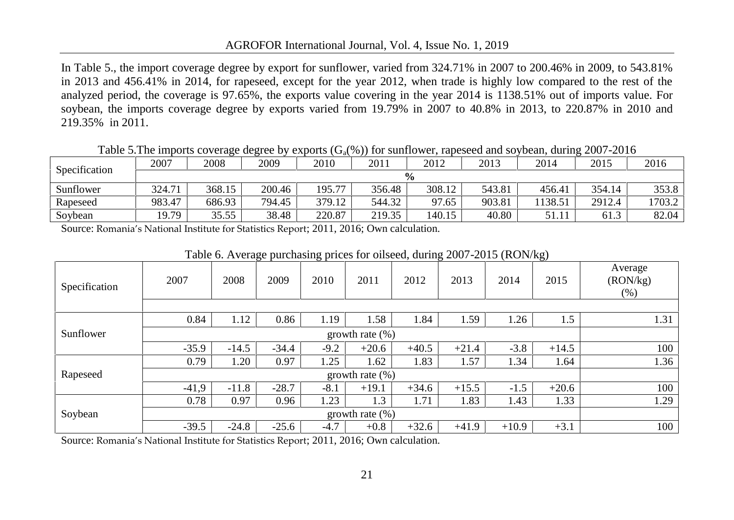#### AGROFOR International Journal, Vol. 4, Issue No. 1, 2019

In Table 5., the import coverage degree by export for sunflower, varied from 324.71% in 2007 to 200.46% in 2009, to 543.81% in 2013 and 456.41% in 2014, for rapeseed, except for the year 2012, when trade is highly low compared to the rest of the analyzed period, the coverage is 97.65%, the exports value covering in the year 2014 is 1138.51% out of imports value. For soybean, the imports coverage degree by exports varied from 19.79% in 2007 to 40.8% in 2013, to 220.87% in 2010 and 219.35% in 2011.

Table 5.The imports coverage degree by exports  $(G_a(\%))$  for sunflower, rapeseed and soybean, during 2007-2016

| Specification | 2007   | 2008          | 2009   | 2010   | 2011   | 2012   | 2013   | 2014   | 2015   | 2016   |  |  |  |
|---------------|--------|---------------|--------|--------|--------|--------|--------|--------|--------|--------|--|--|--|
|               |        | $\frac{0}{0}$ |        |        |        |        |        |        |        |        |  |  |  |
| Sunflower     | 324.71 | 368.15        | 200.46 | 195.77 | 356.48 | 308.12 | 543.81 | 456.41 | 354.14 | 353.8  |  |  |  |
| Rapeseed      | 983.47 | 686.93        | 794.45 | 379.12 | 544.32 | 97.65  | 903.81 | 138.51 | 2912.4 | 1703.2 |  |  |  |
| Soybean       | 19.79  | 35.55         | 38.48  | 220.87 | 219.35 | 140.15 | 40.80  | 51.11  | 61.3   | 82.04  |  |  |  |

Source: Romania's National Institute for Statistics Report; 2011, 2016; Own calculation.

|  | Table 6. Average purchasing prices for oilseed, during 2007-2015 (RON/kg) |
|--|---------------------------------------------------------------------------|
|  |                                                                           |

| Specification | 2007    | 2008                | 2009    | 2010   | 2011    | 2012    | 2013    | 2014    | 2015    | Average<br>(RON/kg)<br>$(\%)$ |  |  |
|---------------|---------|---------------------|---------|--------|---------|---------|---------|---------|---------|-------------------------------|--|--|
|               |         |                     |         |        |         |         |         |         |         |                               |  |  |
|               | 0.84    | 1.12                | 0.86    | 1.19   | 1.58    | 1.84    | 1.59    | 1.26    | 1.5     | 1.31                          |  |  |
| Sunflower     |         | growth rate $(\%)$  |         |        |         |         |         |         |         |                               |  |  |
|               | $-35.9$ | $-14.5$             | $-34.4$ | $-9.2$ | $+20.6$ | $+40.5$ | $+21.4$ | $-3.8$  | $+14.5$ | 100                           |  |  |
|               | 0.79    | 1.20                | 0.97    | 1.25   | 1.62    | 1.83    | 1.57    | 1.34    | 1.64    | 1.36                          |  |  |
| Rapeseed      |         |                     |         |        |         |         |         |         |         |                               |  |  |
|               | $-41,9$ | $-11.8$             | $-28.7$ | $-8.1$ | $+19.1$ | $+34.6$ | $+15.5$ | $-1.5$  | $+20.6$ | 100                           |  |  |
|               | 0.78    | 0.97                | 0.96    | 1.23   | 1.3     | 1.71    | 1.83    | 1.43    | 1.33    | 1.29                          |  |  |
| Soybean       |         | growth rate $(\% )$ |         |        |         |         |         |         |         |                               |  |  |
|               | $-39.5$ | $-24.8$             | $-25.6$ | $-4.7$ | $+0.8$  | $+32.6$ | $+41.9$ | $+10.9$ | $+3.1$  | 100                           |  |  |

Source: Romania's National Institute for Statistics Report; 2011, 2016; Own calculation.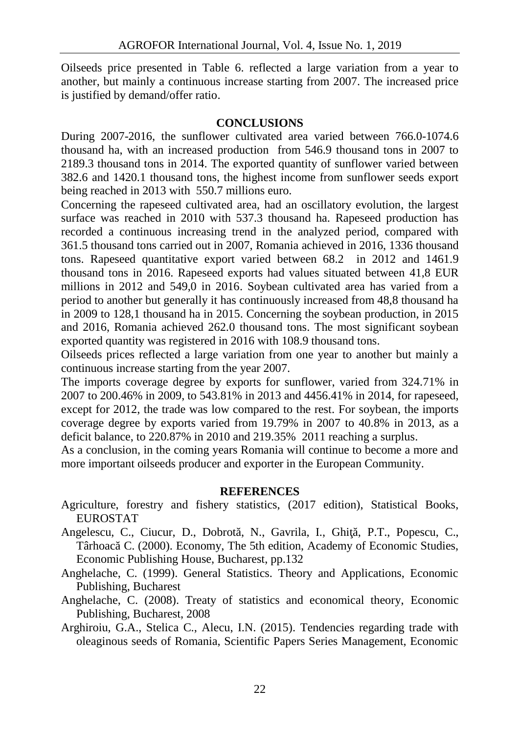Oilseeds price presented in Table 6. reflected a large variation from a year to another, but mainly a continuous increase starting from 2007. The increased price is justified by demand/offer ratio.

#### **CONCLUSIONS**

During 2007-2016, the sunflower cultivated area varied between 766.0-1074.6 thousand ha, with an increased production from 546.9 thousand tons in 2007 to 2189.3 thousand tons in 2014. The exported quantity of sunflower varied between 382.6 and 1420.1 thousand tons, the highest income from sunflower seeds export being reached in 2013 with 550.7 millions euro.

Concerning the rapeseed cultivated area, had an oscillatory evolution, the largest surface was reached in 2010 with 537.3 thousand ha. Rapeseed production has recorded a continuous increasing trend in the analyzed period, compared with 361.5 thousand tons carried out in 2007, Romania achieved in 2016, 1336 thousand tons. Rapeseed quantitative export varied between 68.2 in 2012 and 1461.9 thousand tons in 2016. Rapeseed exports had values situated between 41,8 EUR millions in 2012 and 549,0 in 2016. Soybean cultivated area has varied from a period to another but generally it has continuously increased from 48,8 thousand ha in 2009 to 128,1 thousand ha in 2015. Concerning the soybean production, in 2015 and 2016, Romania achieved 262.0 thousand tons. The most significant soybean exported quantity was registered in 2016 with 108.9 thousand tons.

Oilseeds prices reflected a large variation from one year to another but mainly a continuous increase starting from the year 2007.

The imports coverage degree by exports for sunflower, varied from 324.71% in 2007 to 200.46% in 2009, to 543.81% in 2013 and 4456.41% in 2014, for rapeseed, except for 2012, the trade was low compared to the rest. For soybean, the imports coverage degree by exports varied from 19.79% in 2007 to 40.8% in 2013, as a deficit balance, to 220.87% in 2010 and 219.35% 2011 reaching a surplus.

As a conclusion, in the coming years Romania will continue to become a more and more important oilseeds producer and exporter in the European Community.

#### **REFERENCES**

- Agriculture, forestry and fishery statistics, (2017 edition), Statistical Books, EUROSTAT
- Angelescu, C., Ciucur, D., Dobrot, N., Gavrila, I., Ghi, P.T., Popescu, C., Târhoac C. (2000). Economy, The 5th edition, Academy of Economic Studies, Economic Publishing House, Bucharest, pp.132
- Anghelache, C. (1999). General Statistics. Theory and Applications, Economic Publishing, Bucharest
- Anghelache, C. (2008). Treaty of statistics and economical theory, Economic Publishing, Bucharest, 2008
- Arghiroiu, G.A., Stelica C., Alecu, I.N. (2015). Tendencies regarding trade with oleaginous seeds of Romania, Scientific Papers Series Management, Economic